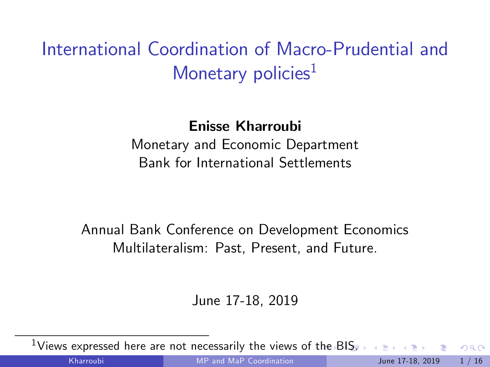International Coordination of Macro-Prudential and Monetary policies<sup>1</sup>

#### Enisse Kharroubi

Monetary and Economic Department Bank for International Settlements

Annual Bank Conference on Development Economics Multilateralism: Past, Present, and Future.

#### <span id="page-0-0"></span>June 17-18, 2019

<sup>1</sup>Views expressed here are not necessarily [th](#page-0-0)e views of th[e B](#page-1-0)[IS.](#page-0-0)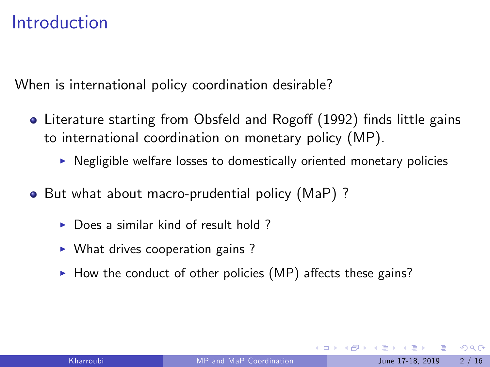#### Introduction

When is international policy coordination desirable?

- Literature starting from Obsfeld and Rogoff (1992) finds little gains to international coordination on monetary policy (MP).
	- $\triangleright$  Negligible welfare losses to domestically oriented monetary policies
- <span id="page-1-0"></span>But what about macro-prudential policy (MaP) ?
	- $\triangleright$  Does a similar kind of result hold ?
	- $\triangleright$  What drives cooperation gains ?
	- $\blacktriangleright$  How the conduct of other policies (MP) affects these gains?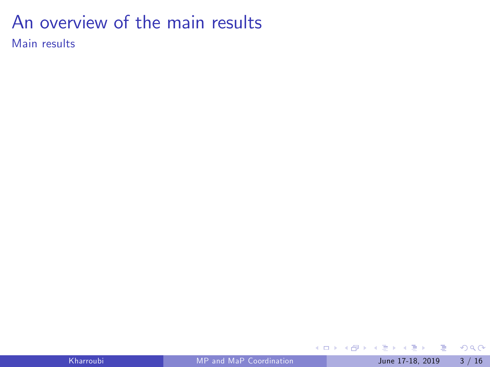Main results

正々 メラメ

重

 $2990$ 

**K ロ ⊁ K 倒 ⊁ K**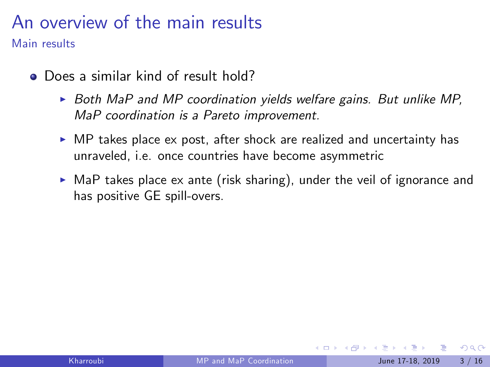Main results

- Does a similar kind of result hold?
	- $\triangleright$  Both MaP and MP coordination yields welfare gains. But unlike MP, MaP coordination is a Pareto improvement.
	- $\triangleright$  MP takes place ex post, after shock are realized and uncertainty has unraveled, i.e. once countries have become asymmetric
	- $\triangleright$  MaP takes place ex ante (risk sharing), under the veil of ignorance and has positive GE spill-overs.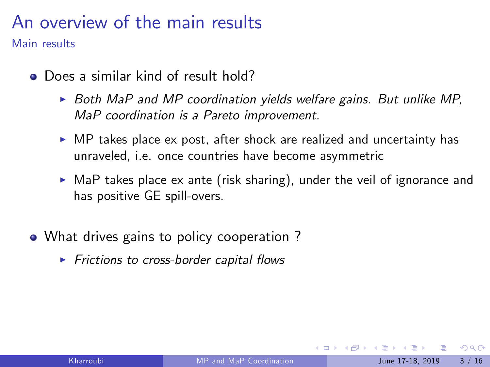Main results

- Does a similar kind of result hold?
	- $\triangleright$  Both MaP and MP coordination yields welfare gains. But unlike MP, MaP coordination is a Pareto improvement.
	- $\triangleright$  MP takes place ex post, after shock are realized and uncertainty has unraveled, i.e. once countries have become asymmetric
	- $\triangleright$  MaP takes place ex ante (risk sharing), under the veil of ignorance and has positive GE spill-overs.
- What drives gains to policy cooperation?
	- $\triangleright$  Frictions to cross-border capital flows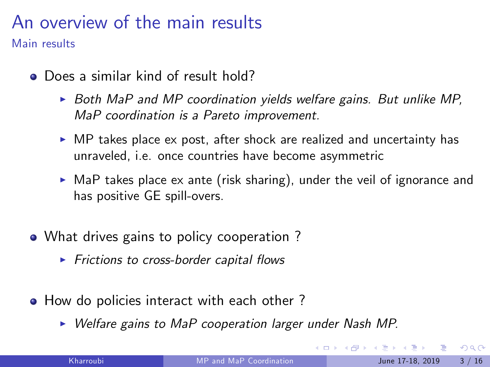Main results

- Does a similar kind of result hold?
	- $\triangleright$  Both MaP and MP coordination yields welfare gains. But unlike MP, MaP coordination is a Pareto improvement.
	- $\triangleright$  MP takes place ex post, after shock are realized and uncertainty has unraveled, i.e. once countries have become asymmetric
	- $\triangleright$  MaP takes place ex ante (risk sharing), under the veil of ignorance and has positive GE spill-overs.
- What drives gains to policy cooperation?
	- $\triangleright$  Frictions to cross-border capital flows
- How do policies interact with each other?
	- $\triangleright$  Welfare gains to MaP cooperation larger under Nash MP.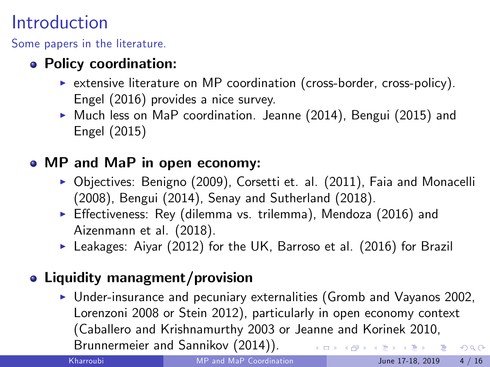## Introduction

Some papers in the literature.

#### Policy coordination:

- $\triangleright$  extensive literature on MP coordination (cross-border, cross-policy). Engel (2016) provides a nice survey.
- $\triangleright$  Much less on MaP coordination. Jeanne (2014), Bengui (2015) and Engel (2015)

#### • MP and MaP in open economy:

- $\triangleright$  Objectives: Benigno (2009), Corsetti et. al. (2011), Faia and Monacelli (2008), Bengui (2014), Senay and Sutherland (2018).
- $\triangleright$  Effectiveness: Rey (dilemma vs. trilemma), Mendoza (2016) and Aizenmann et al. (2018).
- ▶ Leakages: Aiyar (2012) for the UK, Barroso et al. (2016) for Brazil

#### Liquidity managment/provision

 $\triangleright$  Under-insurance and pecuniary externalities (Gromb and Vayanos 2002, Lorenzoni 2008 or Stein 2012), particularly in open economy context (Caballero and Krishnamurthy 2003 or Jeanne and Korinek 2010, Brunnermeier and Sannikov (2014)).  $\left\{ \begin{array}{ccc} 1 & 0 & 0 \\ 0 & 1 & 0 \end{array} \right.$  $\eta$ an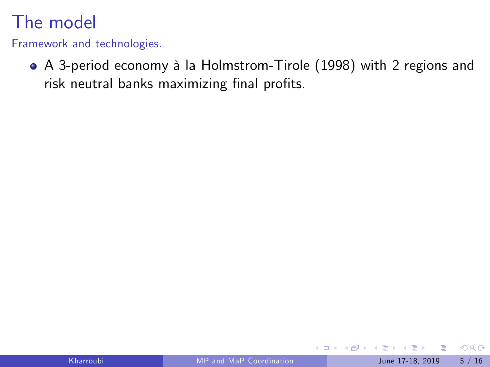Framework and technologies.

• A 3-period economy à la Holmstrom-Tirole (1998) with 2 regions and risk neutral banks maximizing final profits.

4 0 8

ÆP ⊳

÷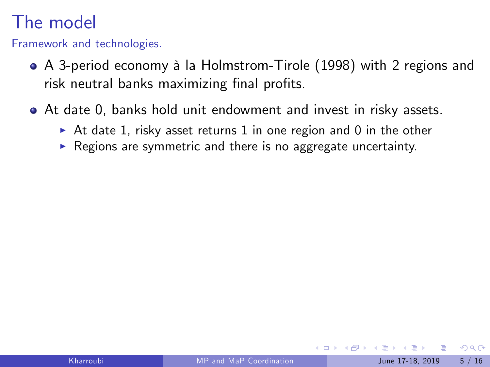Framework and technologies.

- $\bullet$  A 3-period economy à la Holmstrom-Tirole (1998) with 2 regions and risk neutral banks maximizing final profits.
- At date 0, banks hold unit endowment and invest in risky assets.
	- $\triangleright$  At date 1, risky asset returns 1 in one region and 0 in the other
	- $\triangleright$  Regions are symmetric and there is no aggregate uncertainty.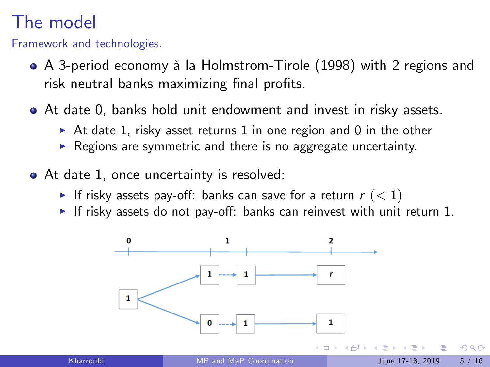Framework and technologies.

- $\bullet$  A 3-period economy à la Holmstrom-Tirole (1998) with 2 regions and risk neutral banks maximizing final profits.
- At date 0, banks hold unit endowment and invest in risky assets.
	- At date 1, risky asset returns 1 in one region and 0 in the other
	- $\triangleright$  Regions are symmetric and there is no aggregate uncertainty.
- At date 1, once uncertainty is resolved:
	- If risky assets pay-off: banks can save for a return  $r \, (< 1)$
	- If risky assets do not pay-off: banks can reinvest with unit return 1.

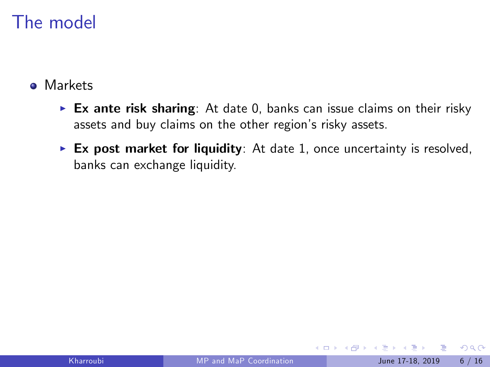**o** Markets

- Ex ante risk sharing: At date 0, banks can issue claims on their risky assets and buy claims on the other region's risky assets.
- Ex post market for liquidity: At date 1, once uncertainty is resolved, banks can exchange liquidity.

4 日下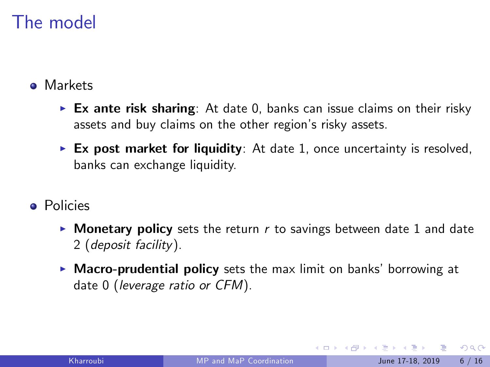**o** Markets

- Ex ante risk sharing: At date 0, banks can issue claims on their risky assets and buy claims on the other region's risky assets.
- Ex post market for liquidity: At date 1, once uncertainty is resolved, banks can exchange liquidity.
- Policies
	- **Monetary policy** sets the return  $r$  to savings between date 1 and date 2 (deposit facility).
	- $\triangleright$  Macro-prudential policy sets the max limit on banks' borrowing at date 0 (leverage ratio or CFM).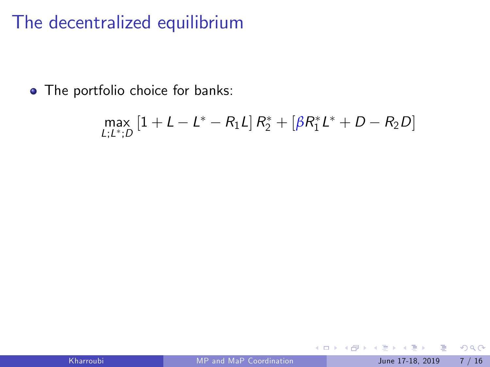• The portfolio choice for banks:

$$
\max_{L;L^*;D} \left[1 + L - L^* - R_1L\right] R_2^* + \left[\beta R_1^* L^* + D - R_2D\right]
$$

4 日下

4 f →

画

舌

 $\sim$  $\mathcal{A}$   $299$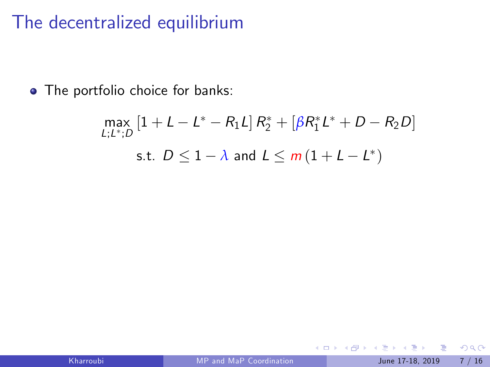• The portfolio choice for banks:

$$
\max_{L;L^*,D} [1 + L - L^* - R_1 L] R_2^* + [\beta R_1^* L^* + D - R_2 D]
$$
  
s.t.  $D \le 1 - \lambda$  and  $L \le m (1 + L - L^*)$ 

4 日下

4 f →

画

舌

 $\sim$  $\mathcal{A}$   $299$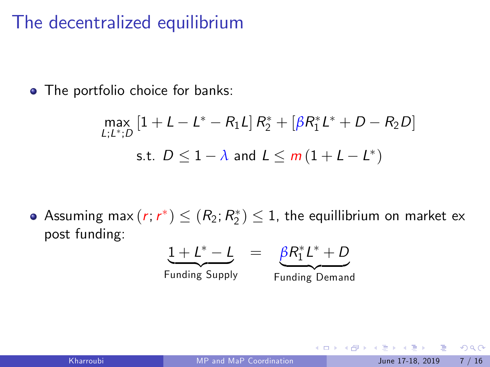• The portfolio choice for banks:

$$
\max_{L;L^*,D} [1 + L - L^* - R_1 L] R_2^* + [\beta R_1^* L^* + D - R_2 D]
$$
  
s.t.  $D \le 1 - \lambda$  and  $L \le m (1 + L - L^*)$ 

Assuming max  $(r;r^*)\leq (R_2;R_2^*)\leq 1$ , the equillibrium on market ex post funding:

$$
\underbrace{1 + L^* - L}_{\text{Funding Supply}} = \underbrace{\beta R_1^* L^* + D}_{\text{Funding Demand}}
$$

4 日下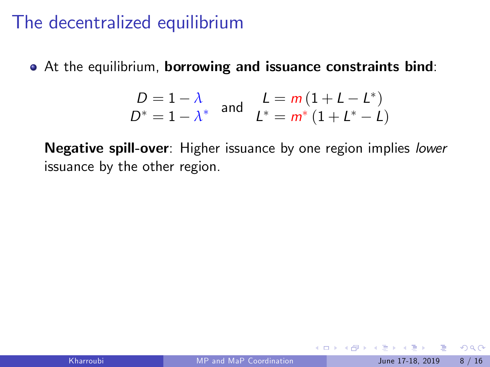At the equilibrium, borrowing and issuance constraints bind:

$$
D = 1 - \lambda D^* = 1 - \lambda^* \text{ and } L^* = m^* (1 + L^* - L^*) L^* = m^* (1 + L^* - L)
$$

Negative spill-over: Higher issuance by one region implies lower issuance by the other region.

4 0 8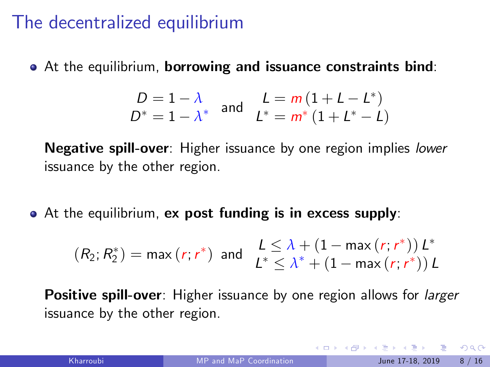At the equilibrium, borrowing and issuance constraints bind:

$$
D = 1 - \lambda D^* = 1 - \lambda^* \text{ and } L^* = m^* (1 + L^* - L^*) L^* = m^* (1 + L^* - L)
$$

Negative spill-over: Higher issuance by one region implies lower issuance by the other region.

At the equilibrium, ex post funding is in excess supply:

$$
(R_2; R_2^*) = \max(r; r^*) \text{ and } \frac{L \leq \lambda + (1 - \max(r; r^*)) L^*}{L^* \leq \lambda^* + (1 - \max(r; r^*)) L}
$$

**Positive spill-over:** Higher issuance by one region allows for *larger* issuance by the other region.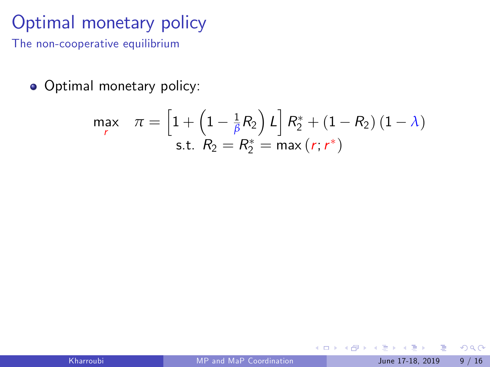## Optimal monetary policy

The non-cooperative equilibrium

o Optimal monetary policy:

$$
\max_{r} \quad \pi = \left[1 + \left(1 - \frac{1}{\beta}R_2\right)L\right]R_2^* + \left(1 - R_2\right)\left(1 - \lambda\right) \\ \text{s.t. } R_2 = R_2^* = \max\left(r; r^*\right)
$$

4 0 8

 $\leftarrow$   $\leftarrow$   $\leftarrow$   $\leftarrow$   $\leftarrow$   $\leftarrow$ 

 $\sim$  $\rightarrow$   $\equiv$   $\rightarrow$ ÷

D.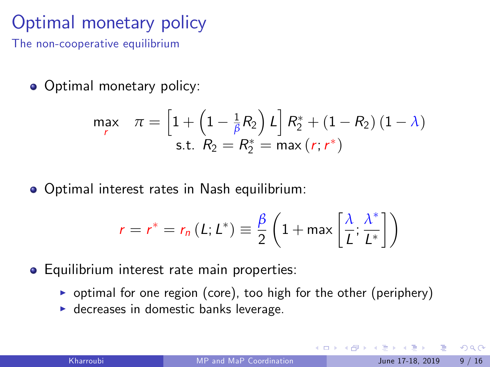## Optimal monetary policy

The non-cooperative equilibrium

• Optimal monetary policy:

$$
\max_{r} \quad \pi = \left[1 + \left(1 - \frac{1}{\beta}R_2\right)L\right]R_2^* + \left(1 - R_2\right)\left(1 - \lambda\right) \\ \text{s.t. } R_2 = R_2^* = \max\left(r; r^*\right)
$$

Optimal interest rates in Nash equilibrium:

<span id="page-18-0"></span>
$$
r = r^* = r_n (L; L^*) \equiv \frac{\beta}{2} \left( 1 + \max \left[ \frac{\lambda}{L}; \frac{\lambda^*}{L^*} \right] \right)
$$

**•** Equilibrium interest rate main properties:

- $\triangleright$  optimal for one region (core), too high for the other (periphery)
- $\blacktriangleright$  decreases in domestic banks leverage.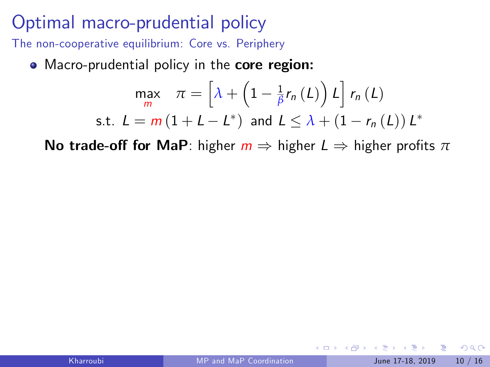The non-cooperative equilibrium: Core vs. Periphery

• Macro-prudential policy in the core region:

$$
\max_{m} \quad \pi = \left[\lambda + \left(1 - \frac{1}{\beta}r_n\left(L\right)\right)L\right]r_n\left(L\right)
$$
\ns.t.

\n
$$
L = m\left(1 + L - L^*\right) \text{ and } L \leq \lambda + \left(1 - r_n\left(L\right)\right)L^*
$$

**No trade-off for MaP**: higher  $m \Rightarrow$  higher  $L \Rightarrow$  higher profits  $\pi$ 

<span id="page-19-0"></span>4 0 8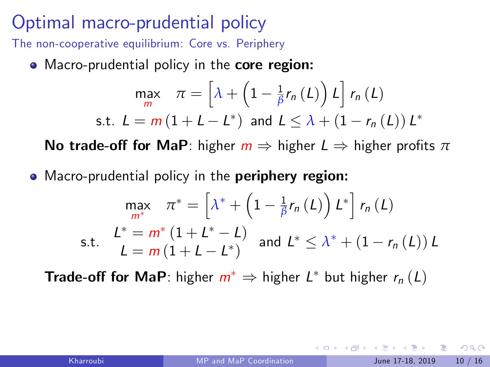The non-cooperative equilibrium: Core vs. Periphery

• Macro-prudential policy in the core region:

$$
\max_{m} \quad \pi = \left[\lambda + \left(1 - \frac{1}{\beta}r_n\left(L\right)\right)L\right]r_n\left(L\right)
$$
\ns.t.

\n
$$
L = m\left(1 + L - L^*\right) \text{ and } L \leq \lambda + \left(1 - r_n\left(L\right)\right)L^*
$$

**No trade-off for MaP**: higher  $m \Rightarrow$  higher  $L \Rightarrow$  higher profits  $\pi$ 

• Macro-prudential policy in the **periphery region:** 

$$
\max_{m^*} \quad \pi^* = \left[\lambda^* + \left(1 - \frac{1}{\beta}r_n\left(L\right)\right)L^*\right]r_n\left(L\right)
$$
\n
$$
\text{s.t.} \quad \begin{array}{l}\nL^* = m^*\left(1 + L^* - L\right) \\
L = m\left(1 + L - L^*\right)\n\end{array} \text{ and } L^* \le \lambda^* + \left(1 - r_n\left(L\right)\right)L
$$

**Trade-off for MaP**: higher  $m^* \Rightarrow$  higher  $L^*$  but higher  $r_n(L)$ 

<span id="page-20-0"></span> $200$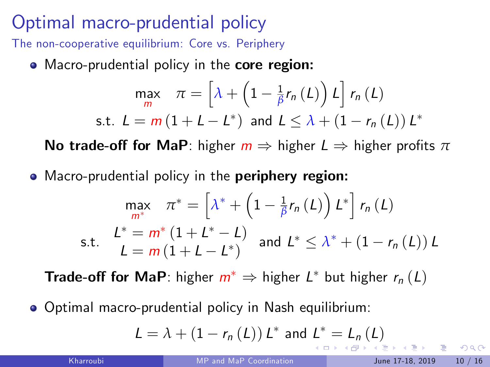The non-cooperative equilibrium: Core vs. Periphery

• Macro-prudential policy in the core region:

$$
\max_{m} \quad \pi = \left[\lambda + \left(1 - \frac{1}{\beta}r_n\left(L\right)\right)L\right]r_n\left(L\right)
$$
\ns.t.

\n
$$
L = m\left(1 + L - L^*\right) \text{ and } L \leq \lambda + \left(1 - r_n\left(L\right)\right)L^*
$$

**No trade-off for MaP**: higher  $m \Rightarrow$  higher  $L \Rightarrow$  higher profits  $\pi$ 

• Macro-prudential policy in the **periphery region:** 

$$
\max_{m^*} \quad \pi^* = \left[\lambda^* + \left(1 - \frac{1}{\beta}r_n\left(L\right)\right)L^*\right]r_n\left(L\right)
$$
\n
$$
\text{s.t.} \quad L^* = m^*\left(1 + L^* - L\right) \quad \text{and} \quad L^* \le \lambda^* + \left(1 - r_n\left(L\right)\right)L
$$

**Trade-off for MaP**: higher  $m^* \Rightarrow$  higher  $L^*$  but higher  $r_n(L)$ 

Optimal macro-prudential policy in Nash equilibrium:

$$
L = \lambda + (1 - r_n(L)) L^* \text{ and } L^* = L_n(L)
$$

<span id="page-21-0"></span> $200$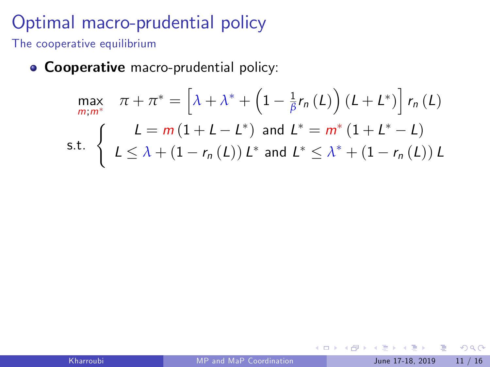The cooperative equilibrium

**Cooperative** macro-prudential policy:

$$
\max_{m;m^*} \quad \pi + \pi^* = \left[\lambda + \lambda^* + \left(1 - \frac{1}{\beta}r_n\left(L\right)\right)\left(L + L^*\right)\right]r_n\left(L\right)
$$
\n
$$
\text{s.t.} \quad \left\{\n\begin{array}{c}\nL = m\left(1 + L - L^*\right) \text{ and } L^* = m^*\left(1 + L^* - L\right) \\
L \leq \lambda + \left(1 - r_n\left(L\right)\right)L^* \text{ and } L^* \leq \lambda^* + \left(1 - r_n\left(L\right)\right)L\n\end{array}\n\right.
$$

4 日下

4 何 ▶

<span id="page-22-0"></span>画

 $\rightarrow$   $\equiv$   $\rightarrow$ 

 $\sim$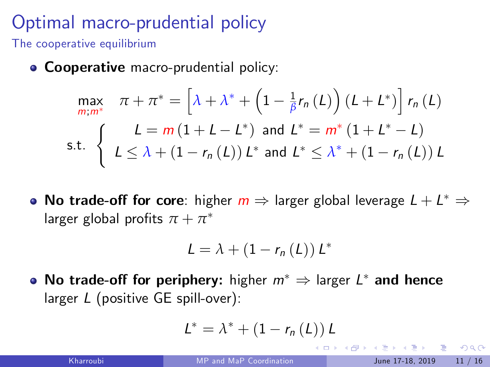The cooperative equilibrium

**Cooperative** macro-prudential policy:

$$
\max_{m;m^*} \quad \pi + \pi^* = \left[\lambda + \lambda^* + \left(1 - \frac{1}{\beta}r_n\left(L\right)\right)\left(L + L^*\right)\right]r_n\left(L\right)
$$
\n
$$
\text{s.t.} \quad \left\{\n\begin{array}{c}\nL = m\left(1 + L - L^*\right) \text{ and } L^* = m^*\left(1 + L^* - L\right) \\
L \leq \lambda + \left(1 - r_n\left(L\right)\right)L^* \text{ and } L^* \leq \lambda^* + \left(1 - r_n\left(L\right)\right)L\n\end{array}\n\right.
$$

**No trade-off for core**: higher  $m \Rightarrow$  larger global leverage  $L + L^* \Rightarrow$ larger global profits  $\pi+\pi^*$ 

$$
L = \lambda + (1 - r_n(L)) L^*
$$

No trade-off for periphery: higher  $m^* \Rightarrow$  larger  $L^*$  and hence larger L (positive GE spill-over):

$$
L^* = \lambda^* + (1 - r_n(L)) L
$$

- 3

 $\Omega$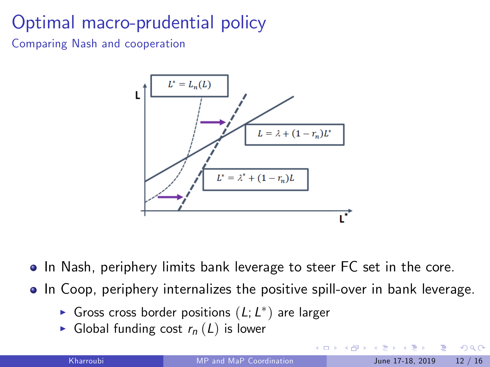Comparing Nash and cooperation



- In Nash, periphery limits bank leverage to steer FC set in the core.
- In Coop, periphery internalizes the positive spill-over in bank leverage.
	- Gross cross border positions  $(L; L^*)$  are larger
	- Global funding cost  $r_n(L)$  is lower

 $\Omega$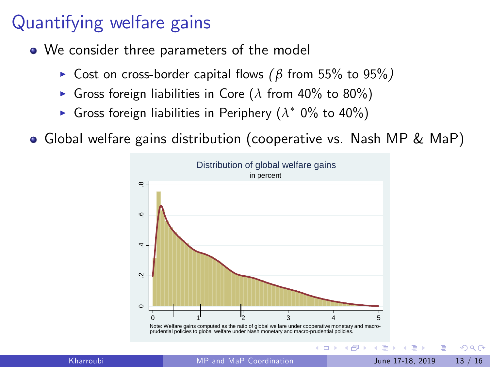# Quantifying welfare gains

- We consider three parameters of the model
	- $\triangleright$  Cost on cross-border capital flows (*β* from 55% to 95%)
	- **Gross foreign liabilities in Core (** $\lambda$  **from 40% to 80%)**
	- ► Gross foreign liabilities in Periphery  $(\lambda^*$  0% to 40%)
- Global welfare gains distribution (cooperative vs. Nash MP & MaP)



-∢ ⊞ D

 $\Omega$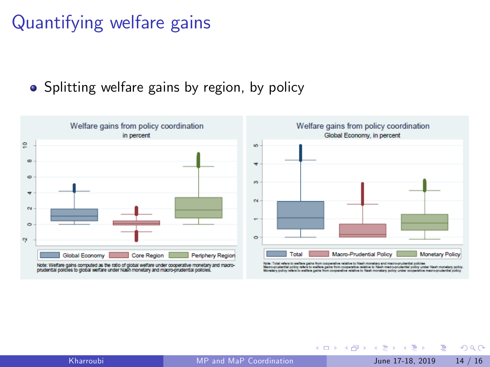## Quantifying welfare gains

• Splitting welfare gains by region, by policy



Kharroubi () [MP and MaP Coordination](#page-0-0) June 17-18, 2019 14 / 16

÷

 $QQ$ 

イロト イ押ト イヨト イヨト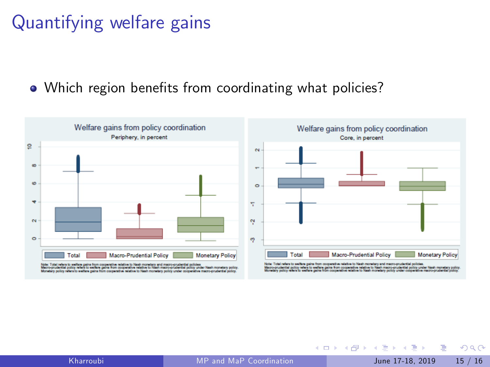## Quantifying welfare gains

• Which region benefits from coordinating what policies?



画

 $QQ$ 

**イロト イ母ト イヨト イヨト**